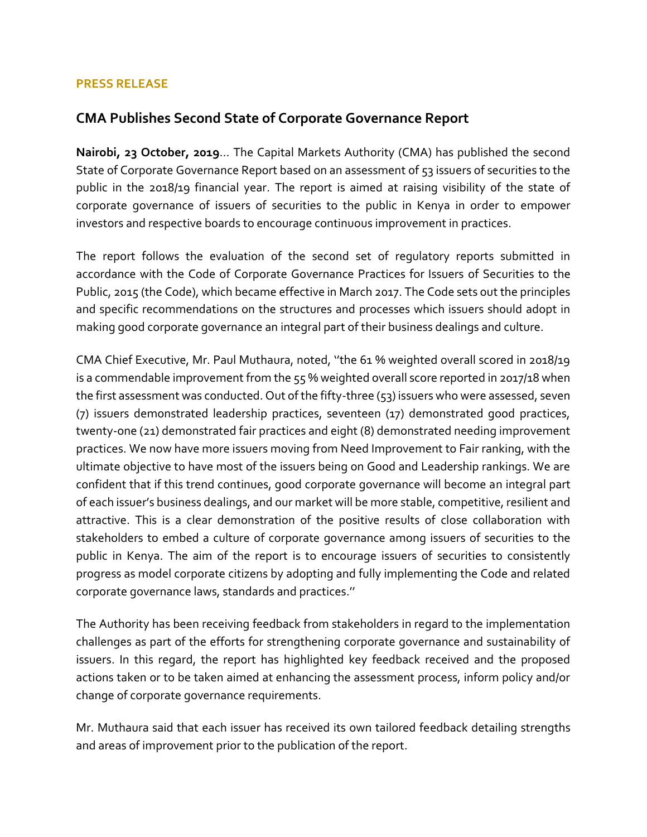## **PRESS RELEASE**

## **CMA Publishes Second State of Corporate Governance Report**

**Nairobi, 23 October, 2019**… The Capital Markets Authority (CMA) has published the second State of Corporate Governance Report based on an assessment of 53 issuers of securities to the public in the 2018/19 financial year. The report is aimed at raising visibility of the state of corporate governance of issuers of securities to the public in Kenya in order to empower investors and respective boards to encourage continuous improvement in practices.

The report follows the evaluation of the second set of regulatory reports submitted in accordance with the Code of Corporate Governance Practices for Issuers of Securities to the Public, 2015 (the Code), which became effective in March 2017. The Code sets out the principles and specific recommendations on the structures and processes which issuers should adopt in making good corporate governance an integral part of their business dealings and culture.

CMA Chief Executive, Mr. Paul Muthaura, noted, ''the 61 % weighted overall scored in 2018/19 is a commendable improvement from the 55 % weighted overall score reported in 2017/18 when the first assessment was conducted. Out of the fifty-three (53) issuers who were assessed, seven (7) issuers demonstrated leadership practices, seventeen (17) demonstrated good practices, twenty-one (21) demonstrated fair practices and eight (8) demonstrated needing improvement practices. We now have more issuers moving from Need Improvement to Fair ranking, with the ultimate objective to have most of the issuers being on Good and Leadership rankings. We are confident that if this trend continues, good corporate governance will become an integral part of each issuer's business dealings, and our market will be more stable, competitive, resilient and attractive. This is a clear demonstration of the positive results of close collaboration with stakeholders to embed a culture of corporate governance among issuers of securities to the public in Kenya. The aim of the report is to encourage issuers of securities to consistently progress as model corporate citizens by adopting and fully implementing the Code and related corporate governance laws, standards and practices.''

The Authority has been receiving feedback from stakeholders in regard to the implementation challenges as part of the efforts for strengthening corporate governance and sustainability of issuers. In this regard, the report has highlighted key feedback received and the proposed actions taken or to be taken aimed at enhancing the assessment process, inform policy and/or change of corporate governance requirements.

Mr. Muthaura said that each issuer has received its own tailored feedback detailing strengths and areas of improvement prior to the publication of the report.